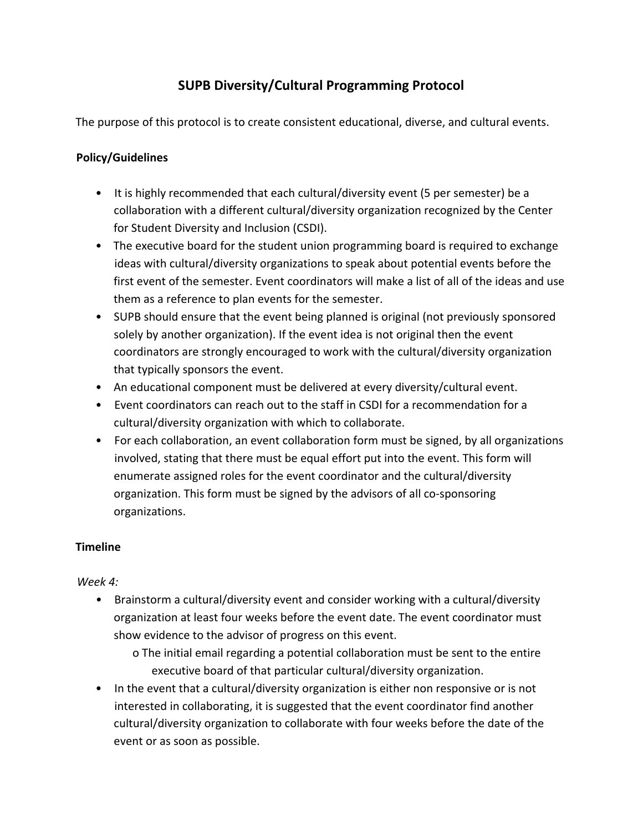# **SUPB Diversity/Cultural Programming Protocol**

The purpose of this protocol is to create consistent educational, diverse, and cultural events.

### **Policy/Guidelines**

- It is highly recommended that each cultural/diversity event (5 per semester) be a collaboration with a different cultural/diversity organization recognized by the Center for Student Diversity and Inclusion (CSDI).
- The executive board for the student union programming board is required to exchange ideas with cultural/diversity organizations to speak about potential events before the first event of the semester. Event coordinators will make a list of all of the ideas and use them as a reference to plan events for the semester.
- SUPB should ensure that the event being planned is original (not previously sponsored solely by another organization). If the event idea is not original then the event coordinators are strongly encouraged to work with the cultural/diversity organization that typically sponsors the event.
- An educational component must be delivered at every diversity/cultural event.
- Event coordinators can reach out to the staff in CSDI for a recommendation for a cultural/diversity organization with which to collaborate.
- For each collaboration, an event collaboration form must be signed, by all organizations involved, stating that there must be equal effort put into the event. This form will enumerate assigned roles for the event coordinator and the cultural/diversity organization. This form must be signed by the advisors of all co-sponsoring organizations.

# **Timeline**

#### *Week 4:*

- *•* Brainstorm a cultural/diversity event and consider working with a cultural/diversity organization at least four weeks before the event date. The event coordinator must show evidence to the advisor of progress on this event.
	- o The initial email regarding a potential collaboration must be sent to the entire executive board of that particular cultural/diversity organization.
- In the event that a cultural/diversity organization is either non responsive or is not interested in collaborating, it is suggested that the event coordinator find another cultural/diversity organization to collaborate with four weeks before the date of the event or as soon as possible.